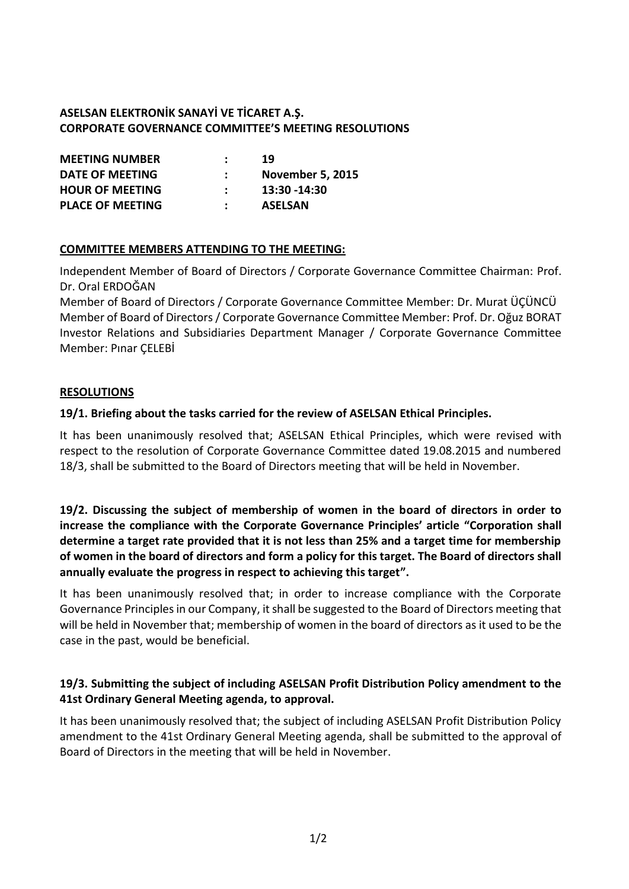# **ASELSAN ELEKTRONİK SANAYİ VE TİCARET A.Ş. CORPORATE GOVERNANCE COMMITTEE'S MEETING RESOLUTIONS**

| <b>MEETING NUMBER</b>   | $\mathcal{L}$ | 19                      |
|-------------------------|---------------|-------------------------|
| DATE OF MEETING         |               | <b>November 5, 2015</b> |
| <b>HOUR OF MEETING</b>  |               | 13:30 -14:30            |
| <b>PLACE OF MEETING</b> |               | <b>ASELSAN</b>          |

#### **COMMITTEE MEMBERS ATTENDING TO THE MEETING:**

Independent Member of Board of Directors / Corporate Governance Committee Chairman: Prof. Dr. Oral ERDOĞAN

Member of Board of Directors / Corporate Governance Committee Member: Dr. Murat ÜÇÜNCÜ Member of Board of Directors / Corporate Governance Committee Member: Prof. Dr. Oğuz BORAT Investor Relations and Subsidiaries Department Manager / Corporate Governance Committee Member: Pınar ÇELEBİ

#### **RESOLUTIONS**

#### **19/1. Briefing about the tasks carried for the review of ASELSAN Ethical Principles.**

It has been unanimously resolved that; ASELSAN Ethical Principles, which were revised with respect to the resolution of Corporate Governance Committee dated 19.08.2015 and numbered 18/3, shall be submitted to the Board of Directors meeting that will be held in November.

**19/2. Discussing the subject of membership of women in the board of directors in order to increase the compliance with the Corporate Governance Principles' article "Corporation shall determine a target rate provided that it is not less than 25% and a target time for membership of women in the board of directors and form a policy for this target. The Board of directors shall annually evaluate the progress in respect to achieving this target".**

It has been unanimously resolved that; in order to increase compliance with the Corporate Governance Principles in our Company, it shall be suggested to the Board of Directors meeting that will be held in November that; membership of women in the board of directors as it used to be the case in the past, would be beneficial.

# **19/3. Submitting the subject of including ASELSAN Profit Distribution Policy amendment to the 41st Ordinary General Meeting agenda, to approval.**

It has been unanimously resolved that; the subject of including ASELSAN Profit Distribution Policy amendment to the 41st Ordinary General Meeting agenda, shall be submitted to the approval of Board of Directors in the meeting that will be held in November.